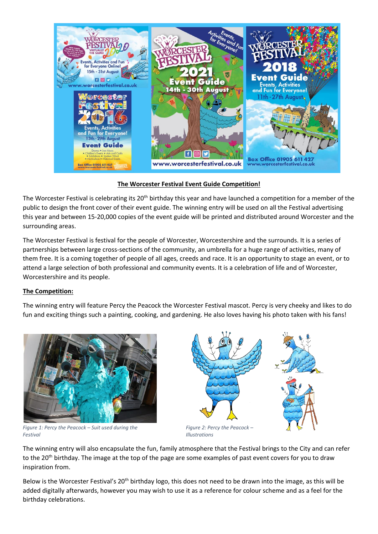

## **The Worcester Festival Event Guide Competition!**

The Worcester Festival is celebrating its  $20<sup>th</sup>$  birthday this year and have launched a competition for a member of the public to design the front cover of their event guide. The winning entry will be used on all the Festival advertising this year and between 15-20,000 copies of the event guide will be printed and distributed around Worcester and the surrounding areas.

The Worcester Festival is festival for the people of Worcester, Worcestershire and the surrounds. It is a series of partnerships between large cross-sections of the community, an umbrella for a huge range of activities, many of them free. It is a coming together of people of all ages, creeds and race. It is an opportunity to stage an event, or to attend a large selection of both professional and community events. It is a celebration of life and of Worcester, Worcestershire and its people.

## **The Competition:**

The winning entry will feature Percy the Peacock the Worcester Festival mascot. Percy is very cheeky and likes to do fun and exciting things such a painting, cooking, and gardening. He also loves having his photo taken with his fans!



*Figure 1: Percy the Peacock – Suit used during the Festival* 



The winning entry will also encapsulate the fun, family atmosphere that the Festival brings to the City and can refer to the 20<sup>th</sup> birthday. The image at the top of the page are some examples of past event covers for you to draw inspiration from.

Below is the Worcester Festival's  $20^{th}$  birthday logo, this does not need to be drawn into the image, as this will be added digitally afterwards, however you may wish to use it as a reference for colour scheme and as a feel for the birthday celebrations.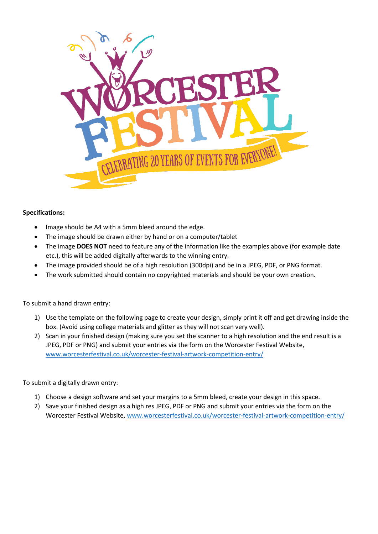

## **Specifications:**

- Image should be A4 with a 5mm bleed around the edge.
- The image should be drawn either by hand or on a computer/tablet
- The image **DOES NOT** need to feature any of the information like the examples above (for example date etc.), this will be added digitally afterwards to the winning entry.
- The image provided should be of a high resolution (300dpi) and be in a JPEG, PDF, or PNG format.
- The work submitted should contain no copyrighted materials and should be your own creation.

To submit a hand drawn entry:

- 1) Use the template on the following page to create your design, simply print it off and get drawing inside the box. (Avoid using college materials and glitter as they will not scan very well).
- 2) Scan in your finished design (making sure you set the scanner to a high resolution and the end result is a JPEG, PDF or PNG) and submit your entries via the form on the Worcester Festival Website, [www.worcesterfestival.co.uk/worcester-festival-artwork-competition-entry/](http://www.worcesterfestival.co.uk/worcester-festival-artwork-competition-entry/)

## To submit a digitally drawn entry:

- 1) Choose a design software and set your margins to a 5mm bleed, create your design in this space.
- 2) Save your finished design as a high res JPEG, PDF or PNG and submit your entries via the form on the Worcester Festival Website, [www.worcesterfestival.co.uk/worcester-festival-artwork-competition-entry/](http://www.worcesterfestival.co.uk/worcester-festival-artwork-competition-entry/)